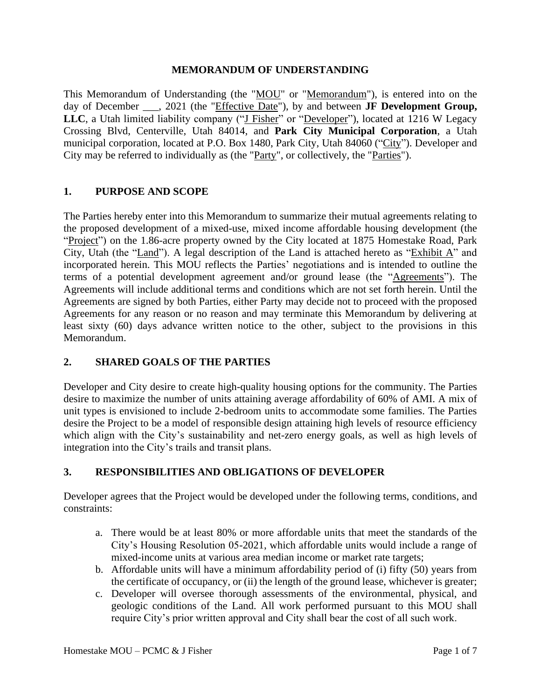#### **MEMORANDUM OF UNDERSTANDING**

This Memorandum of Understanding (the "MOU" or "Memorandum"), is entered into on the day of December \_\_\_, 2021 (the "Effective Date"), by and between **JF Development Group, LLC**, a Utah limited liability company ("J Fisher" or "Developer"), located at 1216 W Legacy Crossing Blvd, Centerville, Utah 84014, and **Park City Municipal Corporation**, a Utah municipal corporation, located at P.O. Box 1480, Park City, Utah 84060 ("City"). Developer and City may be referred to individually as (the "Party", or collectively, the "Parties").

### **1. PURPOSE AND SCOPE**

The Parties hereby enter into this Memorandum to summarize their mutual agreements relating to the proposed development of a mixed-use, mixed income affordable housing development (the "Project") on the 1.86-acre property owned by the City located at 1875 Homestake Road, Park City, Utah (the "Land"). A legal description of the Land is attached hereto as "Exhibit A" and incorporated herein. This MOU reflects the Parties' negotiations and is intended to outline the terms of a potential development agreement and/or ground lease (the "Agreements"). The Agreements will include additional terms and conditions which are not set forth herein. Until the Agreements are signed by both Parties, either Party may decide not to proceed with the proposed Agreements for any reason or no reason and may terminate this Memorandum by delivering at least sixty (60) days advance written notice to the other, subject to the provisions in this Memorandum.

#### **2. SHARED GOALS OF THE PARTIES**

Developer and City desire to create high-quality housing options for the community. The Parties desire to maximize the number of units attaining average affordability of 60% of AMI. A mix of unit types is envisioned to include 2-bedroom units to accommodate some families. The Parties desire the Project to be a model of responsible design attaining high levels of resource efficiency which align with the City's sustainability and net-zero energy goals, as well as high levels of integration into the City's trails and transit plans.

### **3. RESPONSIBILITIES AND OBLIGATIONS OF DEVELOPER**

Developer agrees that the Project would be developed under the following terms, conditions, and constraints:

- a. There would be at least 80% or more affordable units that meet the standards of the City's Housing Resolution 05-2021, which affordable units would include a range of mixed-income units at various area median income or market rate targets;
- b. Affordable units will have a minimum affordability period of (i) fifty (50) years from the certificate of occupancy, or (ii) the length of the ground lease, whichever is greater;
- c. Developer will oversee thorough assessments of the environmental, physical, and geologic conditions of the Land. All work performed pursuant to this MOU shall require City's prior written approval and City shall bear the cost of all such work.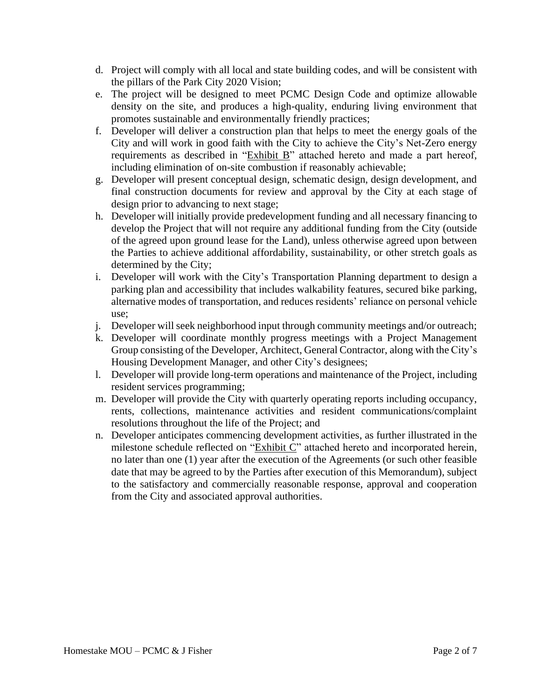- d. Project will comply with all local and state building codes, and will be consistent with the pillars of the Park City 2020 Vision;
- e. The project will be designed to meet PCMC Design Code and optimize allowable density on the site, and produces a high-quality, enduring living environment that promotes sustainable and environmentally friendly practices;
- f. Developer will deliver a construction plan that helps to meet the energy goals of the City and will work in good faith with the City to achieve the City's Net-Zero energy requirements as described in "Exhibit B" attached hereto and made a part hereof, including elimination of on-site combustion if reasonably achievable;
- g. Developer will present conceptual design, schematic design, design development, and final construction documents for review and approval by the City at each stage of design prior to advancing to next stage;
- h. Developer will initially provide predevelopment funding and all necessary financing to develop the Project that will not require any additional funding from the City (outside of the agreed upon ground lease for the Land), unless otherwise agreed upon between the Parties to achieve additional affordability, sustainability, or other stretch goals as determined by the City;
- i. Developer will work with the City's Transportation Planning department to design a parking plan and accessibility that includes walkability features, secured bike parking, alternative modes of transportation, and reduces residents' reliance on personal vehicle use;
- j. Developer will seek neighborhood input through community meetings and/or outreach;
- k. Developer will coordinate monthly progress meetings with a Project Management Group consisting of the Developer, Architect, General Contractor, along with the City's Housing Development Manager, and other City's designees;
- l. Developer will provide long-term operations and maintenance of the Project, including resident services programming;
- m. Developer will provide the City with quarterly operating reports including occupancy, rents, collections, maintenance activities and resident communications/complaint resolutions throughout the life of the Project; and
- n. Developer anticipates commencing development activities, as further illustrated in the milestone schedule reflected on "Exhibit C" attached hereto and incorporated herein, no later than one (1) year after the execution of the Agreements (or such other feasible date that may be agreed to by the Parties after execution of this Memorandum), subject to the satisfactory and commercially reasonable response, approval and cooperation from the City and associated approval authorities.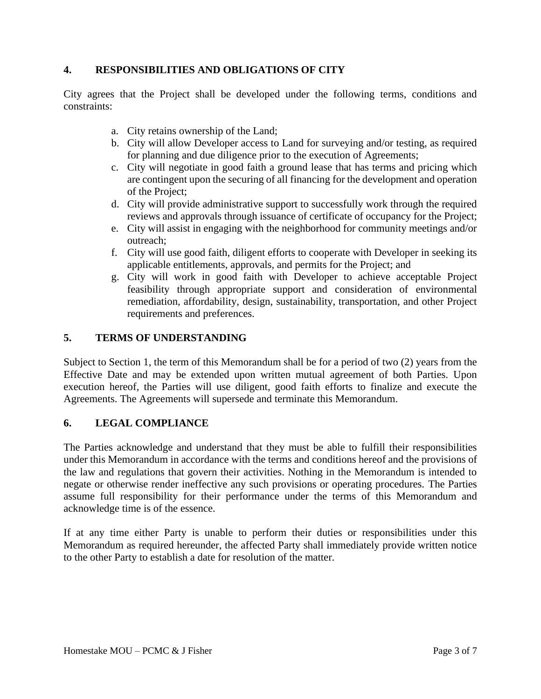### **4. RESPONSIBILITIES AND OBLIGATIONS OF CITY**

City agrees that the Project shall be developed under the following terms, conditions and constraints:

- a. City retains ownership of the Land;
- b. City will allow Developer access to Land for surveying and/or testing, as required for planning and due diligence prior to the execution of Agreements;
- c. City will negotiate in good faith a ground lease that has terms and pricing which are contingent upon the securing of all financing for the development and operation of the Project;
- d. City will provide administrative support to successfully work through the required reviews and approvals through issuance of certificate of occupancy for the Project;
- e. City will assist in engaging with the neighborhood for community meetings and/or outreach;
- f. City will use good faith, diligent efforts to cooperate with Developer in seeking its applicable entitlements, approvals, and permits for the Project; and
- g. City will work in good faith with Developer to achieve acceptable Project feasibility through appropriate support and consideration of environmental remediation, affordability, design, sustainability, transportation, and other Project requirements and preferences.

### **5. TERMS OF UNDERSTANDING**

Subject to Section 1, the term of this Memorandum shall be for a period of two (2) years from the Effective Date and may be extended upon written mutual agreement of both Parties. Upon execution hereof, the Parties will use diligent, good faith efforts to finalize and execute the Agreements. The Agreements will supersede and terminate this Memorandum.

#### **6. LEGAL COMPLIANCE**

The Parties acknowledge and understand that they must be able to fulfill their responsibilities under this Memorandum in accordance with the terms and conditions hereof and the provisions of the law and regulations that govern their activities. Nothing in the Memorandum is intended to negate or otherwise render ineffective any such provisions or operating procedures. The Parties assume full responsibility for their performance under the terms of this Memorandum and acknowledge time is of the essence.

If at any time either Party is unable to perform their duties or responsibilities under this Memorandum as required hereunder, the affected Party shall immediately provide written notice to the other Party to establish a date for resolution of the matter.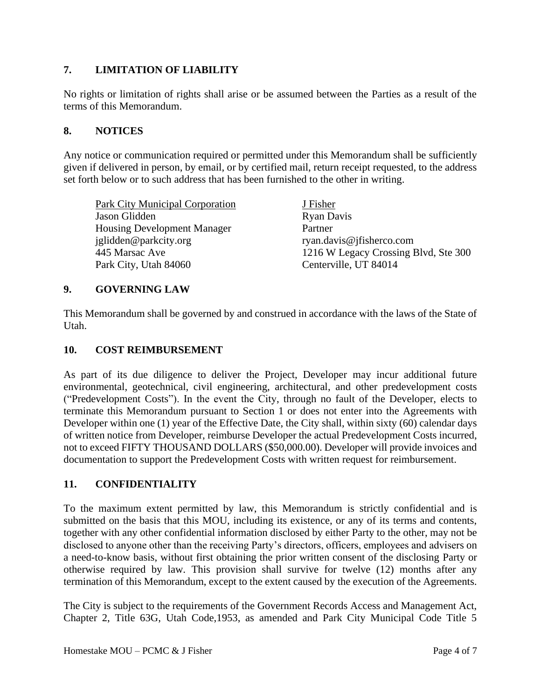## **7. LIMITATION OF LIABILITY**

No rights or limitation of rights shall arise or be assumed between the Parties as a result of the terms of this Memorandum.

### **8. NOTICES**

Any notice or communication required or permitted under this Memorandum shall be sufficiently given if delivered in person, by email, or by certified mail, return receipt requested, to the address set forth below or to such address that has been furnished to the other in writing.

| Park City Municipal Corporation    | J Fisher                             |
|------------------------------------|--------------------------------------|
| Jason Glidden                      | <b>Ryan Davis</b>                    |
| <b>Housing Development Manager</b> | Partner                              |
| iglidden@parkcity.org              | ryan.davis@jfisherco.com             |
| 445 Marsac Ave                     | 1216 W Legacy Crossing Blvd, Ste 300 |
| Park City, Utah 84060              | Centerville, UT 84014                |
|                                    |                                      |

### **9. GOVERNING LAW**

This Memorandum shall be governed by and construed in accordance with the laws of the State of Utah.

### **10. COST REIMBURSEMENT**

As part of its due diligence to deliver the Project, Developer may incur additional future environmental, geotechnical, civil engineering, architectural, and other predevelopment costs ("Predevelopment Costs"). In the event the City, through no fault of the Developer, elects to terminate this Memorandum pursuant to Section 1 or does not enter into the Agreements with Developer within one (1) year of the Effective Date, the City shall, within sixty (60) calendar days of written notice from Developer, reimburse Developer the actual Predevelopment Costs incurred, not to exceed FIFTY THOUSAND DOLLARS (\$50,000.00). Developer will provide invoices and documentation to support the Predevelopment Costs with written request for reimbursement.

#### **11. CONFIDENTIALITY**

To the maximum extent permitted by law, this Memorandum is strictly confidential and is submitted on the basis that this MOU, including its existence, or any of its terms and contents, together with any other confidential information disclosed by either Party to the other, may not be disclosed to anyone other than the receiving Party's directors, officers, employees and advisers on a need-to-know basis, without first obtaining the prior written consent of the disclosing Party or otherwise required by law. This provision shall survive for twelve (12) months after any termination of this Memorandum, except to the extent caused by the execution of the Agreements.

The City is subject to the requirements of the Government Records Access and Management Act, Chapter 2, Title 63G, Utah Code,1953, as amended and Park City Municipal Code Title 5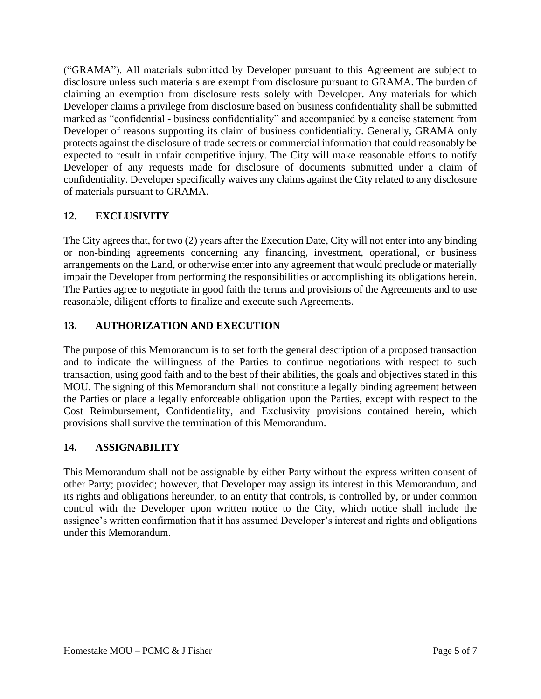("GRAMA"). All materials submitted by Developer pursuant to this Agreement are subject to disclosure unless such materials are exempt from disclosure pursuant to GRAMA. The burden of claiming an exemption from disclosure rests solely with Developer. Any materials for which Developer claims a privilege from disclosure based on business confidentiality shall be submitted marked as "confidential - business confidentiality" and accompanied by a concise statement from Developer of reasons supporting its claim of business confidentiality. Generally, GRAMA only protects against the disclosure of trade secrets or commercial information that could reasonably be expected to result in unfair competitive injury. The City will make reasonable efforts to notify Developer of any requests made for disclosure of documents submitted under a claim of confidentiality. Developer specifically waives any claims against the City related to any disclosure of materials pursuant to GRAMA.

# **12. EXCLUSIVITY**

The City agrees that, for two (2) years after the Execution Date, City will not enter into any binding or non-binding agreements concerning any financing, investment, operational, or business arrangements on the Land, or otherwise enter into any agreement that would preclude or materially impair the Developer from performing the responsibilities or accomplishing its obligations herein. The Parties agree to negotiate in good faith the terms and provisions of the Agreements and to use reasonable, diligent efforts to finalize and execute such Agreements.

# **13. AUTHORIZATION AND EXECUTION**

The purpose of this Memorandum is to set forth the general description of a proposed transaction and to indicate the willingness of the Parties to continue negotiations with respect to such transaction, using good faith and to the best of their abilities, the goals and objectives stated in this MOU. The signing of this Memorandum shall not constitute a legally binding agreement between the Parties or place a legally enforceable obligation upon the Parties, except with respect to the Cost Reimbursement, Confidentiality, and Exclusivity provisions contained herein, which provisions shall survive the termination of this Memorandum.

# **14. ASSIGNABILITY**

This Memorandum shall not be assignable by either Party without the express written consent of other Party; provided; however, that Developer may assign its interest in this Memorandum, and its rights and obligations hereunder, to an entity that controls, is controlled by, or under common control with the Developer upon written notice to the City, which notice shall include the assignee's written confirmation that it has assumed Developer's interest and rights and obligations under this Memorandum.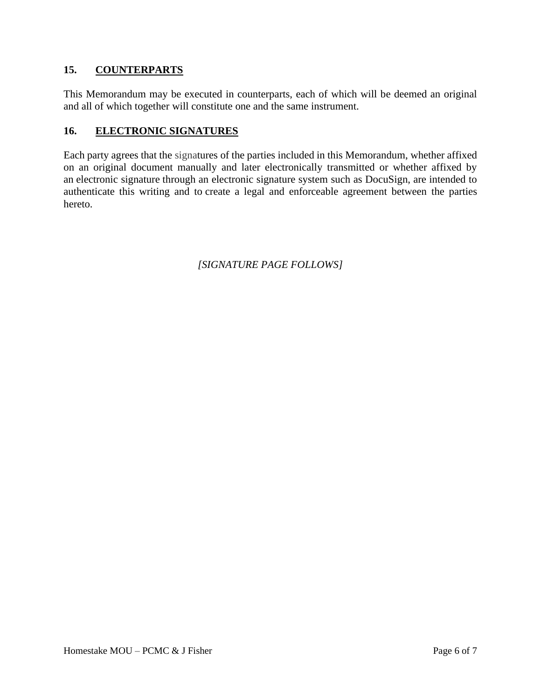### **15. COUNTERPARTS**

This Memorandum may be executed in counterparts, each of which will be deemed an original and all of which together will constitute one and the same instrument.

## **16. ELECTRONIC SIGNATURES**

Each party agrees that the signatures of the parties included in this Memorandum, whether affixed on an original document manually and later electronically transmitted or whether affixed by an electronic signature through an electronic signature system such as DocuSign, are intended to authenticate this writing and to create a legal and enforceable agreement between the parties hereto.

*[SIGNATURE PAGE FOLLOWS]*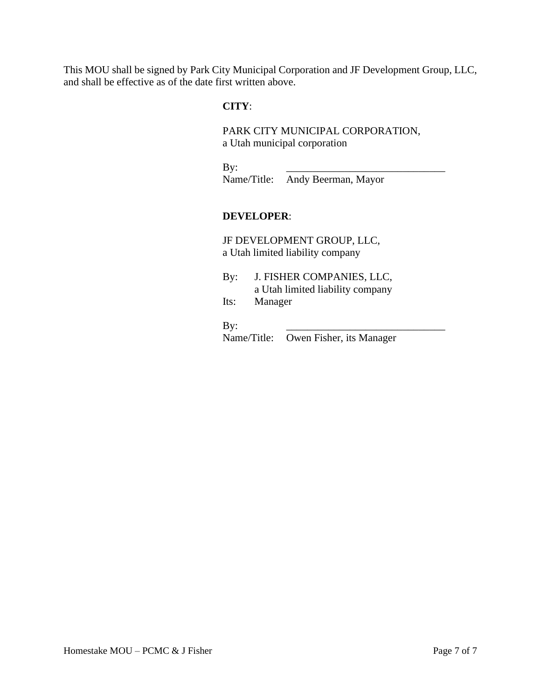This MOU shall be signed by Park City Municipal Corporation and JF Development Group, LLC, and shall be effective as of the date first written above.

#### **CITY**:

PARK CITY MUNICIPAL CORPORATION, a Utah municipal corporation

By: \_\_\_\_\_\_\_\_\_\_\_\_\_\_\_\_\_\_\_\_\_\_\_\_\_\_\_\_\_\_ Name/Title: Andy Beerman, Mayor

### **DEVELOPER**:

JF DEVELOPMENT GROUP, LLC, a Utah limited liability company

By: J. FISHER COMPANIES, LLC, a Utah limited liability company Its: Manager

By: \_\_\_\_\_\_\_\_\_\_\_\_\_\_\_\_\_\_\_\_\_\_\_\_\_\_\_\_\_\_

Name/Title: Owen Fisher, its Manager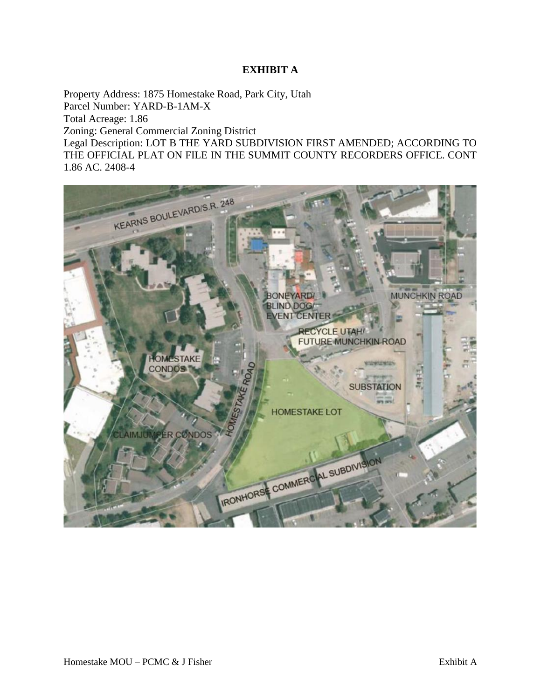### **EXHIBIT A**

Property Address: 1875 Homestake Road, Park City, Utah Parcel Number: YARD-B-1AM-X Total Acreage: 1.86 Zoning: General Commercial Zoning District Legal Description: LOT B THE YARD SUBDIVISION FIRST AMENDED; ACCORDING TO THE OFFICIAL PLAT ON FILE IN THE SUMMIT COUNTY RECORDERS OFFICE. CONT 1.86 AC. 2408-4

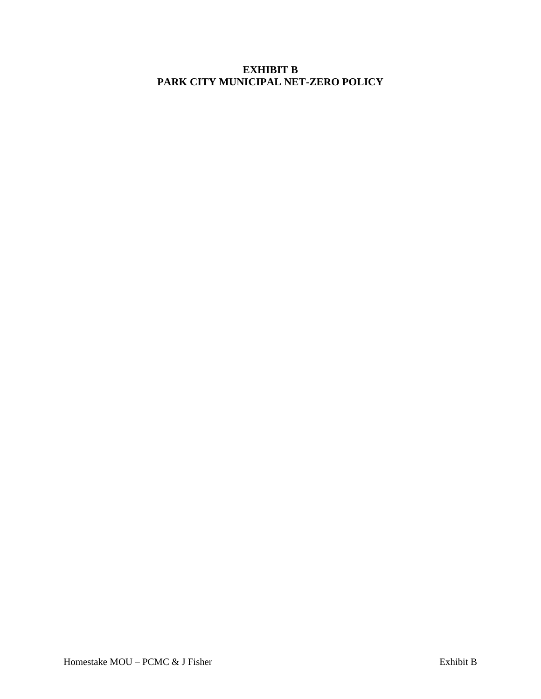# **EXHIBIT B PARK CITY MUNICIPAL NET-ZERO POLICY**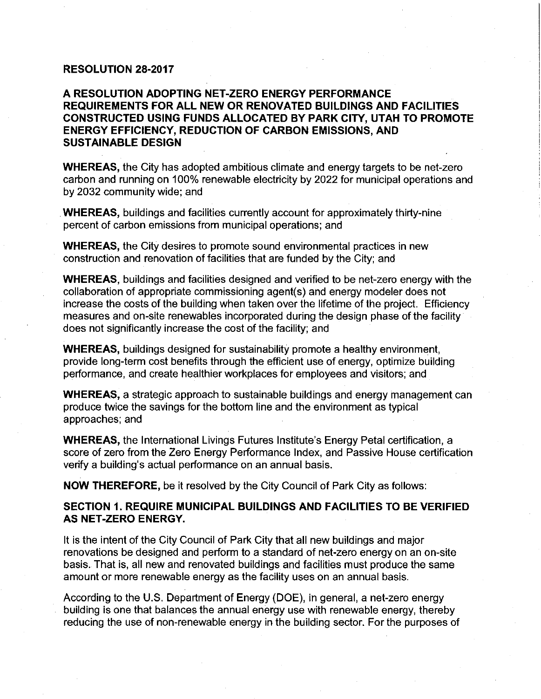#### **RESOLUTION 28-2017**

### **A RESOLUTION ADOPTING NET-ZERO ENERGY PERFORMANCE REQUIREMENTS FOR ALL NEW OR RENOVATED BUILDINGS AND FACILITIES CONSTRUCTED USING FUNDS ALLOCATED BY PARK CITY, UTAH TO PROMOTE ENERGY EFFICIENCY, REDUCTION OF CARBON EMISSIONS, AND SUSTAINABLE DESIGN**

**WHEREAS,** the City has adopted ambitious climate and energy targets to be net-zero carbon and running on 100% renewable electricity by 2022 for municipal operations and by 2032 community wide; and

**WHEREAS,** buildings and facilities currently account for approximately thirty-nine percent of carbon emissions from municipal operations; and

**WHEREAS,** the City desires to promote sound environmental practices in new construction and renovation of facilities that are funded by the City; and

**WHEREAS,** buildings and facilities designed and verified to be net-zero energy with the collaboration of appropriate commissioning agent(s) and energy modeler does not increase the costs of the building when taken over the lifetime of the project. Efficiency measures and on-site renewables incorporated during the design phase of the facility does not significantly increase the cost of the facility; and

**WHEREAS,** buildings designed for sustainability promote a healthy environment, provide long-term cost benefits through the efficient use of energy, optimize building performance, and create healthier workplaces for employees and visitors; and

**WHEREAS,** a strategic approach to sustainable buildings and energy management can produce twice the savings for the bottom line and the environment as typical approaches; and

**WHEREAS,** the International Livings Futures lnstitute's Energy Petal certification, a score of zero from the Zero Energy Performance Index, and Passive House certification verify a building's actual performance on an annual basis.

**NOW THEREFORE,** be it resolved by the City Council of Park City as follows:

### **SECTION 1. REQUIRE MUNICIPAL BUILDINGS AND FACILITIES TO BE VERIFIED AS NET-ZERO ENERGY.**

It is the intent of the City Council of Park City that all new buildings and major renovations be designed and perform to a standard of net-zero energy on an on-site basis. That is, all new and renovated buildings and facilities must produce the same amount or more renewable energy as the facility uses on an annual basis.

According to the U.S. Department of Energy (DOE), in general, a net-zero energy building is one that balances the annual energy use with renewable energy, thereby reducing the use of non-renewable energy in the building sector. For the purposes of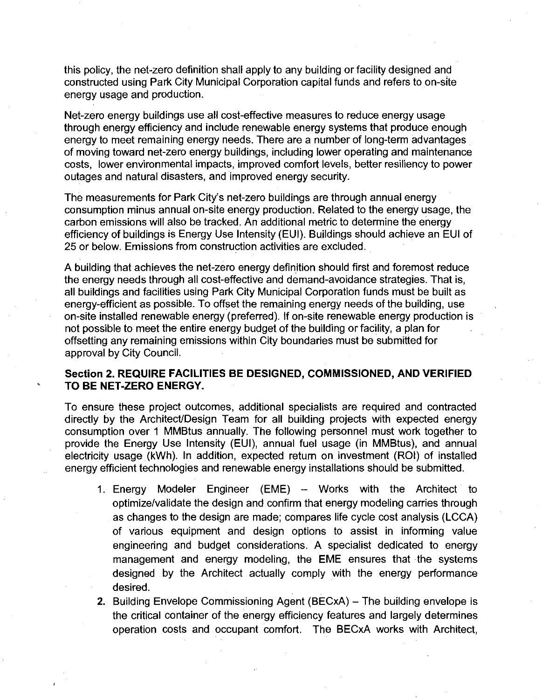this policy, the net-zero definition shall apply to any building or facility designed and constructed using Park City Municipal Corporation capital funds and refers to on-site energy usage and production.

Net-zero energy buildings use all cost-effective measures to reduce energy usage through energy efficiency and include renewable energy systems that produce enough energy to meet remaining energy needs. There are a number of long-term advantages of moving toward net-zero energy buildings, including lower operating and maintenance costs, lower environmental impacts, improved comfort levels, better resiliency to power outages and natural disasters, and improved energy security.

The measurements for Park City's net-zero buildings are through annual energy consumption minus annual on-site energy production. Related to the energy usage, the carbon emissions will also be tracked. An additional metric to determine the energy efficiency of buildings is Energy Use Intensity (EUI). Buildings should achieve an EUI of 25 or below. Emissions from construction activities are excluded.

A building that achieves the net-zero energy definition should first and foremost reduce the energy needs through all cost-effective and demand-avoidance strategies. That is, all buildings and facilities using Park City Municipal Corporation funds must be built as energy-efficient as possible. To offset the remaining energy needs of the building, use on-site installed renewable energy (preferred). If on-site renewable energy production is not possible to meet the entire energy budget of the building or facility, a plan for offsetting any remaining emissions within City boundaries must be submitted for approval by City Council.

#### Section 2. REQUIRE FACILITIES BE DESIGNED, COMMISSIONED, AND VERIFIED TO BE NET-ZERO ENERGY.

To ensure these project outcomes, additional specialists are required and contracted directly by the Architect/Design Team for all building projects with expected energy consumption over 1 MMBtus annually. The following personnel must work together to provide the Energy Use Intensity (EUI), annual fuel usage (in MMBtus), and annual electricity usage (kWh). In addition, expected return on investment (ROI) of installed energy efficient technologies and renewable energy installations should be submitted.

- 1. Energy Modeler Engineer (EME) Works with the Architect to optimize/validate the design and confirm that energy modeling carries through as changes to the design are made; compares life cycle cost analysis (LCCA) of various equipment and design options to assist in informing value engineering and budget considerations. A specialist dedicated to energy management and energy modeling, the EME ensures that the systems designed by the Architect actually comply with the energy performance desired.
- 2. Building Envelope Commissioning Agent (BECxA) The building envelope is the critical container of the energy efficiency features and largely determines operation costs and occupant comfort. The BECxA works with Architect,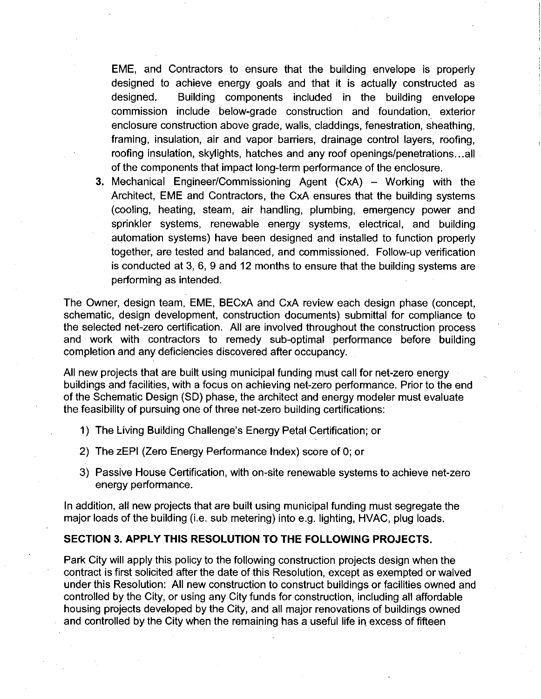EME, and Contractors to ensure that the building envelope is properly designed to achieve energy goals and that it is actually constructed as designed. Building components included in the building envelope commission include below-grade construction and foundation, exterior enclosure construction above grade, walls, claddings, fenestration, sheathing, framing, insulation, air and vapor barriers, drainage control layers, roofing, roofing insulation, skylights, hatches and any roof openings/penetrations ... all of the components that impact long-term performance of the enclosure.

3. Mechanical Engineer/Commissioning Agent (CxA) – Working with the Architect, EME and Contractors, the CxA ensures that the building systems (cooling, heating, steam, air handling, plumbing, emergency power and sprinkler systems, renewable energy systems, electrical, and building automation systems) have been designed and installed to function properly together, are tested and balanced, and commissioned. Follow-up verification is conducted at 3, 6, 9 and 12 months to ensure that the building systems are performing as intended.

The Owner, design team, EME, BECxA and CxA review each design phase (concept, schematic, design development, construction documents) submittal for compliance to the selected net-zero certification. All are involved throughout the construction process and work with contractors to remedy sub-optimal performance before building completion and any deficiencies discovered after occupancy.

All new projects that are built using municipal funding must call for net-zero energy buildings and facilities, with a focus on achieving net-zero performance. Prior to the end of the Schematic Design (SD) phase, the architect and energy modeler must evaluate the feasibility of pursuing one of three net-zero building certifications:

- 1) The Living Building Challenge's Energy Petal Certification; or
- 2) The zEPI (Zero Energy Performance Index) score of O; or
- 3) Passive House Certification, with on-site renewable systems to achieve net-zero energy performance.

In addition, all new projects that are built using municipal funding must segregate the major loads of the building (i.e. sub metering) into e.g. lighting, HVAC, plug loads.

#### **SECTION 3. APPLY THIS RESOLUTION TO THE FOLLOWING PROJECTS.**

Park City will apply this policy to the following construction projects design when the contract is first solicited after the date of this Resolution, except as exempted or waived under this Resolution: All new construction to construct buildings or facilities owned and controlled by the City, or using any City funds for construction, including all affordable housing projects developed by the City, and all major renovations of buildings owned and controlled by the City when the remaining has a useful life in excess of fifteen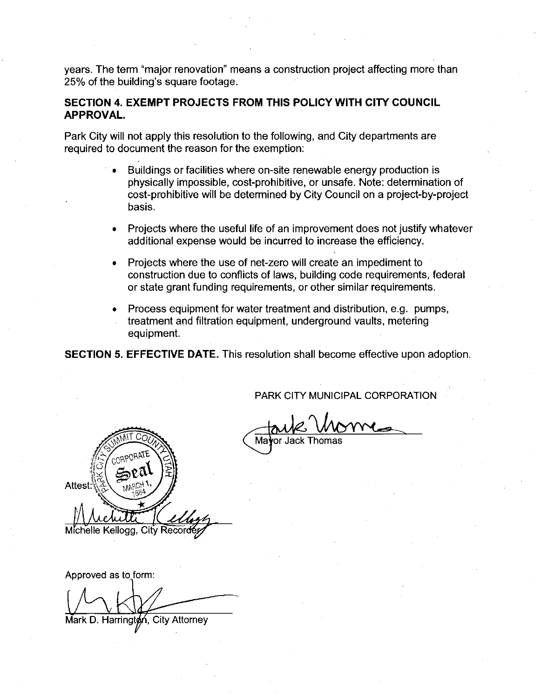years. The term "major renovation" means a construction project affecting more than 25% of the building's square footage.

### **SECTION 4. EXEMPT PROJECTS FROM THIS POLICY WITH CITY COUNCIL APPROVAL.**

Park City will not apply this resolution to the following, and City departments are required to document the reason for the exemption:

- Buildings or facilities where on-site renewable energy production is physically impossible, cost-prohibitive, or unsafe. Note: determination of cost-prohibitive will be determined by City Council on a project-by-project basis.
- Projects where the useful life of an improvement does not justify whatever additional expense would be incurred to increase the efficiency.
- Projects where the use of net-zero will create an impediment to construction due to conflicts of laws, building code requirements, federal or state grant funding requirements, or other similar requirements.
- Process equipment for water treatment and distribution, e.g. pumps, treatment and filtration equipment, underground vaults, metering equipment.

**SECTION 5. EFFECTIVE DATE.** This resolution shall become effective upon adoption.

PARK CITY MUNICIPAL CORPORATION

PARK CITY MUNICIPAL CORPORATION<br>Mayor Jack Thomas



Approved as to form:

Mark D. Harrington, City Attorney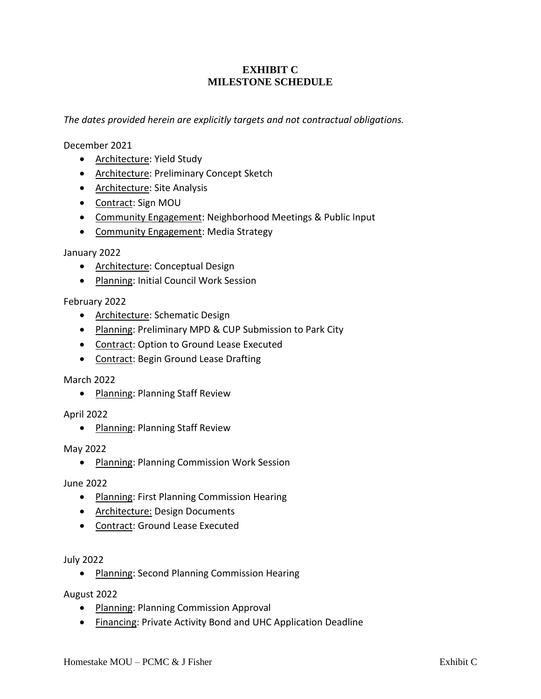### **EXHIBIT C MILESTONE SCHEDULE**

*The dates provided herein are explicitly targets and not contractual obligations.*

December 2021

- Architecture: Yield Study
- Architecture: Preliminary Concept Sketch
- Architecture: Site Analysis
- Contract: Sign MOU
- Community Engagement: Neighborhood Meetings & Public Input
- Community Engagement: Media Strategy

January 2022

- Architecture: Conceptual Design
- Planning: Initial Council Work Session

February 2022

- Architecture: Schematic Design
- Planning: Preliminary MPD & CUP Submission to Park City
- Contract: Option to Ground Lease Executed
- Contract: Begin Ground Lease Drafting

March 2022

• Planning: Planning Staff Review

April 2022

• Planning: Planning Staff Review

May 2022

• Planning: Planning Commission Work Session

June 2022

- Planning: First Planning Commission Hearing
- Architecture: Design Documents
- Contract: Ground Lease Executed

July 2022

• Planning: Second Planning Commission Hearing

August 2022

- Planning: Planning Commission Approval
- Financing: Private Activity Bond and UHC Application Deadline